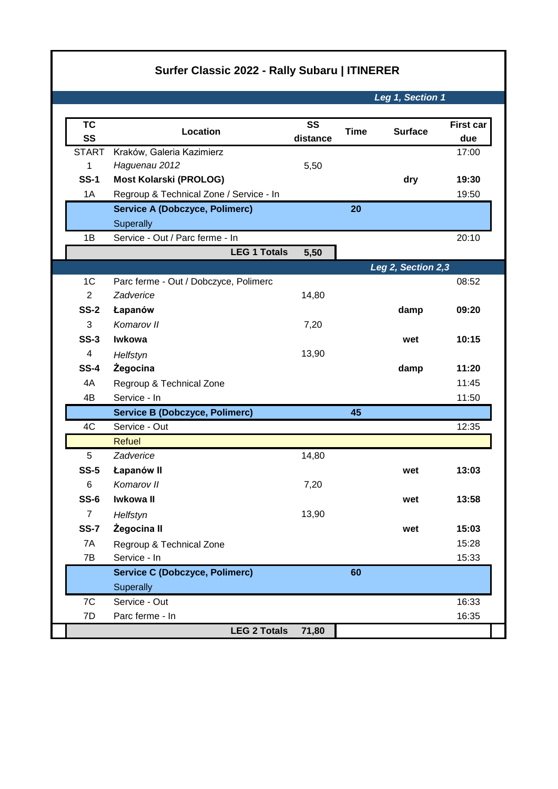## **Surfer Classic 2022 - Rally Subaru | ITINERER**

*Leg 1, Section 1*

| <b>TC</b><br>SS | Location                                   | <b>SS</b> | <b>Time</b> | <b>Surface</b>     | <b>First car</b><br>due |
|-----------------|--------------------------------------------|-----------|-------------|--------------------|-------------------------|
| <b>START</b>    |                                            | distance  |             |                    |                         |
| 1               | Kraków, Galeria Kazimierz<br>Haguenau 2012 | 5,50      |             |                    | 17:00                   |
| <b>SS-1</b>     | <b>Most Kolarski (PROLOG)</b>              |           |             | dry                | 19:30                   |
| 1A              | Regroup & Technical Zone / Service - In    |           |             |                    | 19:50                   |
|                 | <b>Service A (Dobczyce, Polimerc)</b>      |           | 20          |                    |                         |
|                 | Superally                                  |           |             |                    |                         |
| 1B              | Service - Out / Parc ferme - In            |           |             |                    | 20:10                   |
|                 | <b>LEG 1 Totals</b>                        | 5,50      |             |                    |                         |
|                 |                                            |           |             | Leg 2, Section 2,3 |                         |
| 1 <sup>C</sup>  | Parc ferme - Out / Dobczyce, Polimerc      |           |             |                    | 08:52                   |
| $\overline{2}$  | Zadverice                                  | 14,80     |             |                    |                         |
| <b>SS-2</b>     | Łapanów                                    |           |             | damp               | 09:20                   |
| 3               | Komarov II                                 | 7,20      |             |                    |                         |
| $SS-3$          | <b>Iwkowa</b>                              |           |             | wet                | 10:15                   |
| $\overline{4}$  | Helfstyn                                   | 13,90     |             |                    |                         |
| <b>SS-4</b>     | Żegocina                                   |           |             | damp               | 11:20                   |
| 4A              | Regroup & Technical Zone                   |           |             |                    | 11:45                   |
| 4B              | Service - In                               |           |             |                    | 11:50                   |
|                 | <b>Service B (Dobczyce, Polimerc)</b>      |           | 45          |                    |                         |
| 4C              | Service - Out                              |           |             |                    | 12:35                   |
|                 | <b>Refuel</b>                              |           |             |                    |                         |
| 5               | Zadverice                                  | 14,80     |             |                    |                         |
| $SS-5$          | Łapanów II                                 |           |             | wet                | 13:03                   |
| 6               | Komarov II                                 | 7,20      |             |                    |                         |
| $SS-6$          | Iwkowa II                                  |           |             | wet                | 13:58                   |
| $\overline{7}$  | Helfstyn                                   | 13,90     |             |                    |                         |
| <b>SS-7</b>     | Żegocina II                                |           |             | wet                | 15:03                   |
| 7A              | Regroup & Technical Zone                   |           |             |                    | 15:28                   |
| 7B              | Service - In                               |           |             |                    | 15:33                   |
|                 | <b>Service C (Dobczyce, Polimerc)</b>      |           | 60          |                    |                         |
|                 | Superally                                  |           |             |                    |                         |
| 7C              | Service - Out                              |           |             |                    | 16:33                   |
| 7D              | Parc ferme - In                            |           |             |                    | 16:35                   |